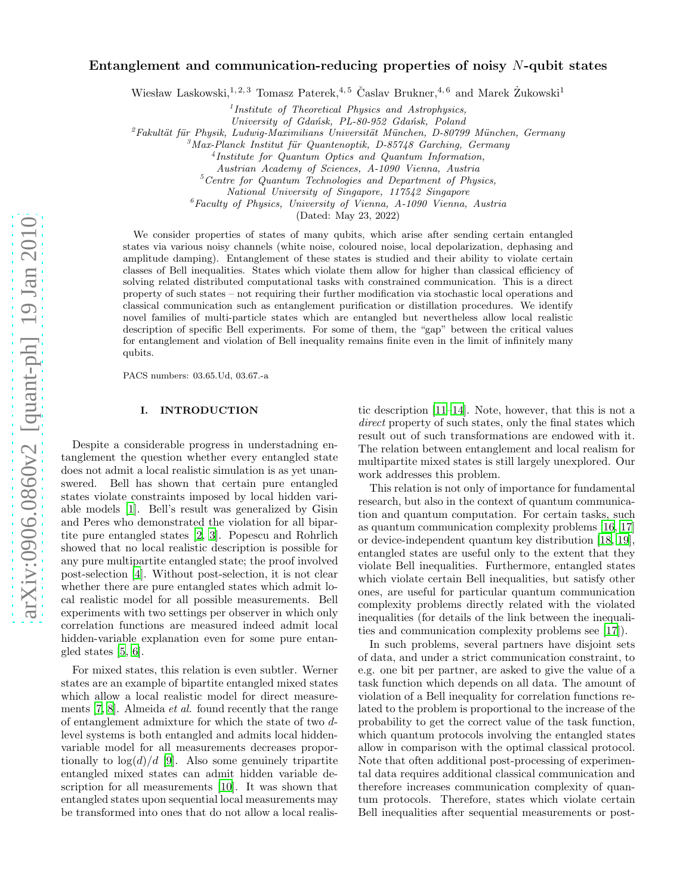# arXiv:0906.0860v2 [quant-ph] 19 Jan 2010 [arXiv:0906.0860v2 \[quant-ph\] 19 Jan 2010](http://arxiv.org/abs/0906.0860v2)

# Entanglement and communication-reducing properties of noisy N-qubit states

Wiesław Laskowski,<sup>1, 2, 3</sup> Tomasz Paterek,<sup>4, 5</sup> Časlav Brukner,<sup>4, 6</sup> and Marek Zukowski<sup>1</sup>

<sup>1</sup> Institute of Theoretical Physics and Astrophysics,

University of Gdańsk, PL-80-952 Gdańsk, Poland

 $^{2}$ Fakultät für Physik, Ludwig-Maximilians Universität München, D-80799 München, Germany

 $3$ Max-Planck Institut für Quantenoptik, D-85748 Garching, Germany

4 Institute for Quantum Optics and Quantum Information,

Austrian Academy of Sciences, A-1090 Vienna, Austria

 ${}^{5}Centre$  for Quantum Technologies and Department of Physics,

National University of Singapore, 117542 Singapore

 ${}^6$ Faculty of Physics, University of Vienna, A-1090 Vienna, Austria

(Dated: May 23, 2022)

We consider properties of states of many qubits, which arise after sending certain entangled states via various noisy channels (white noise, coloured noise, local depolarization, dephasing and amplitude damping). Entanglement of these states is studied and their ability to violate certain classes of Bell inequalities. States which violate them allow for higher than classical efficiency of solving related distributed computational tasks with constrained communication. This is a direct property of such states – not requiring their further modification via stochastic local operations and classical communication such as entanglement purification or distillation procedures. We identify novel families of multi-particle states which are entangled but nevertheless allow local realistic description of specific Bell experiments. For some of them, the "gap" between the critical values for entanglement and violation of Bell inequality remains finite even in the limit of infinitely many qubits.

PACS numbers: 03.65.Ud, 03.67.-a

## I. INTRODUCTION

Despite a considerable progress in understadning entanglement the question whether every entangled state does not admit a local realistic simulation is as yet unanswered. Bell has shown that certain pure entangled states violate constraints imposed by local hidden variable models [\[1\]](#page-9-0). Bell's result was generalized by Gisin and Peres who demonstrated the violation for all bipartite pure entangled states [\[2,](#page-9-1) [3\]](#page-9-2). Popescu and Rohrlich showed that no local realistic description is possible for any pure multipartite entangled state; the proof involved post-selection [\[4](#page-9-3)]. Without post-selection, it is not clear whether there are pure entangled states which admit local realistic model for all possible measurements. Bell experiments with two settings per observer in which only correlation functions are measured indeed admit local hidden-variable explanation even for some pure entangled states [\[5](#page-9-4), [6](#page-9-5)].

For mixed states, this relation is even subtler. Werner states are an example of bipartite entangled mixed states which allow a local realistic model for direct measurements [\[7,](#page-9-6) [8](#page-9-7)]. Almeida et al. found recently that the range of entanglement admixture for which the state of two dlevel systems is both entangled and admits local hiddenvariable model for all measurements decreases proportionally to  $log(d)/d$  [\[9](#page-9-8)]. Also some genuinely tripartite entangled mixed states can admit hidden variable description for all measurements [\[10](#page-9-9)]. It was shown that entangled states upon sequential local measurements may be transformed into ones that do not allow a local realistic description [\[11](#page-9-10)[–14](#page-9-11)]. Note, however, that this is not a direct property of such states, only the final states which result out of such transformations are endowed with it. The relation between entanglement and local realism for multipartite mixed states is still largely unexplored. Our work addresses this problem.

This relation is not only of importance for fundamental research, but also in the context of quantum communication and quantum computation. For certain tasks, such as quantum communication complexity problems [\[16,](#page-9-12) [17](#page-9-13)] or device-independent quantum key distribution [\[18,](#page-9-14) [19\]](#page-9-15), entangled states are useful only to the extent that they violate Bell inequalities. Furthermore, entangled states which violate certain Bell inequalities, but satisfy other ones, are useful for particular quantum communication complexity problems directly related with the violated inequalities (for details of the link between the inequalities and communication complexity problems see [\[17](#page-9-13)]).

In such problems, several partners have disjoint sets of data, and under a strict communication constraint, to e.g. one bit per partner, are asked to give the value of a task function which depends on all data. The amount of violation of a Bell inequality for correlation functions related to the problem is proportional to the increase of the probability to get the correct value of the task function, which quantum protocols involving the entangled states allow in comparison with the optimal classical protocol. Note that often additional post-processing of experimental data requires additional classical communication and therefore increases communication complexity of quantum protocols. Therefore, states which violate certain Bell inequalities after sequential measurements or post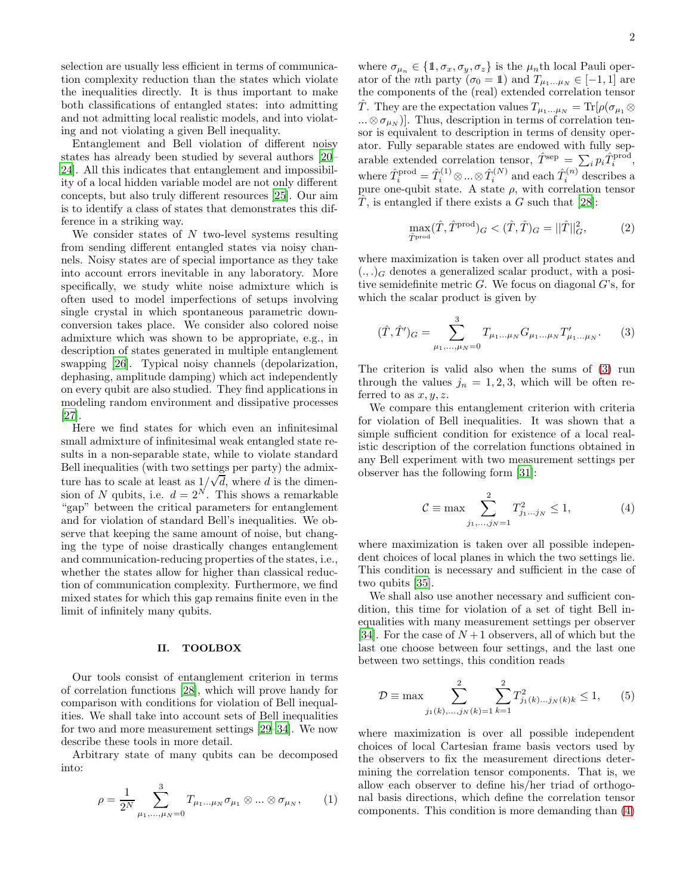selection are usually less efficient in terms of communication complexity reduction than the states which violate the inequalities directly. It is thus important to make both classifications of entangled states: into admitting and not admitting local realistic models, and into violating and not violating a given Bell inequality.

Entanglement and Bell violation of different noisy states has already been studied by several authors [\[20](#page-9-16)– [24\]](#page-9-17). All this indicates that entanglement and impossibility of a local hidden variable model are not only different concepts, but also truly different resources [\[25\]](#page-9-18). Our aim is to identify a class of states that demonstrates this difference in a striking way.

We consider states of  $N$  two-level systems resulting from sending different entangled states via noisy channels. Noisy states are of special importance as they take into account errors inevitable in any laboratory. More specifically, we study white noise admixture which is often used to model imperfections of setups involving single crystal in which spontaneous parametric downconversion takes place. We consider also colored noise admixture which was shown to be appropriate, e.g., in description of states generated in multiple entanglement swapping [\[26\]](#page-9-19). Typical noisy channels (depolarization, dephasing, amplitude damping) which act independently on every qubit are also studied. They find applications in modeling random environment and dissipative processes [\[27\]](#page-9-20).

Here we find states for which even an infinitesimal small admixture of infinitesimal weak entangled state results in a non-separable state, while to violate standard Bell inequalities (with two settings per party) the admixture has to scale at least as  $1/\sqrt{d}$ , where d is the dimension of N qubits, i.e.  $d = 2^N$ . This shows a remarkable "gap" between the critical parameters for entanglement and for violation of standard Bell's inequalities. We observe that keeping the same amount of noise, but changing the type of noise drastically changes entanglement and communication-reducing properties of the states, i.e., whether the states allow for higher than classical reduction of communication complexity. Furthermore, we find mixed states for which this gap remains finite even in the limit of infinitely many qubits.

#### II. TOOLBOX

Our tools consist of entanglement criterion in terms of correlation functions [\[28\]](#page-9-21), which will prove handy for comparison with conditions for violation of Bell inequalities. We shall take into account sets of Bell inequalities for two and more measurement settings [\[29](#page-9-22)[–34\]](#page-10-0). We now describe these tools in more detail.

Arbitrary state of many qubits can be decomposed into:

$$
\rho = \frac{1}{2^N} \sum_{\mu_1, ..., \mu_N = 0}^{3} T_{\mu_1 ... \mu_N} \sigma_{\mu_1} \otimes ... \otimes \sigma_{\mu_N}, \qquad (1)
$$

where  $\sigma_{\mu_n} \in \{1, \sigma_x, \sigma_y, \sigma_z\}$  is the  $\mu_n$ th local Pauli operator of the *n*th party ( $\sigma_0 = 1$ ) and  $T_{\mu_1...\mu_N} \in [-1, 1]$  are the components of the (real) extended correlation tensor T. They are the expectation values  $T_{\mu_1...\mu_N} = \text{Tr}[\rho(\sigma_{\mu_1} \otimes$  $...\otimes \sigma_{\mu_N}$ ]. Thus, description in terms of correlation tensor is equivalent to description in terms of density operator. Fully separable states are endowed with fully separable extended correlation tensor,  $\hat{T}^{\text{sep}} = \sum_i p_i \hat{T}_i^{\text{prod}}$ , where  $\hat{T}_i^{\text{prod}} = \hat{T}_i^{(1)} \otimes \dots \otimes \hat{T}_i^{(N)}$  and each  $\hat{T}_i^{(n)}$  describes a pure one-qubit state. A state  $\rho$ , with correlation tensor T, is entangled if there exists a G such that  $[28]$ :

<span id="page-1-3"></span>
$$
\max_{\hat{T} \text{prod}} (\hat{T}, \hat{T}^{\text{prod}})_{G} < (\hat{T}, \hat{T})_{G} = ||\hat{T}||_{G}^{2},\tag{2}
$$

where maximization is taken over all product states and  $(.,.)_G$  denotes a generalized scalar product, with a positive semidefinite metric  $G$ . We focus on diagonal  $G$ 's, for which the scalar product is given by

<span id="page-1-0"></span>
$$
(\hat{T}, \hat{T}')_G = \sum_{\mu_1, \dots, \mu_N = 0}^{3} T_{\mu_1 \dots \mu_N} G_{\mu_1 \dots \mu_N} T'_{\mu_1 \dots \mu_N}.
$$
 (3)

The criterion is valid also when the sums of [\(3\)](#page-1-0) run through the values  $j_n = 1, 2, 3$ , which will be often referred to as  $x, y, z$ .

We compare this entanglement criterion with criteria for violation of Bell inequalities. It was shown that a simple sufficient condition for existence of a local realistic description of the correlation functions obtained in any Bell experiment with two measurement settings per observer has the following form [\[31\]](#page-10-1):

<span id="page-1-1"></span>
$$
C \equiv \max \sum_{j_1, \dots, j_N = 1}^{2} T_{j_1 \dots j_N}^2 \le 1,
$$
 (4)

where maximization is taken over all possible independent choices of local planes in which the two settings lie. This condition is necessary and sufficient in the case of two qubits [\[35\]](#page-10-2).

We shall also use another necessary and sufficient condition, this time for violation of a set of tight Bell inequalities with many measurement settings per observer [\[34\]](#page-10-0). For the case of  $N+1$  observers, all of which but the last one choose between four settings, and the last one between two settings, this condition reads

<span id="page-1-2"></span>
$$
\mathcal{D} \equiv \max \sum_{j_1(k),\dots,j_N(k)=1}^2 \sum_{k=1}^2 T_{j_1(k)\dots,j_N(k)k}^2 \le 1, \qquad (5)
$$

where maximization is over all possible independent choices of local Cartesian frame basis vectors used by the observers to fix the measurement directions determining the correlation tensor components. That is, we allow each observer to define his/her triad of orthogonal basis directions, which define the correlation tensor components. This condition is more demanding than [\(4\)](#page-1-1)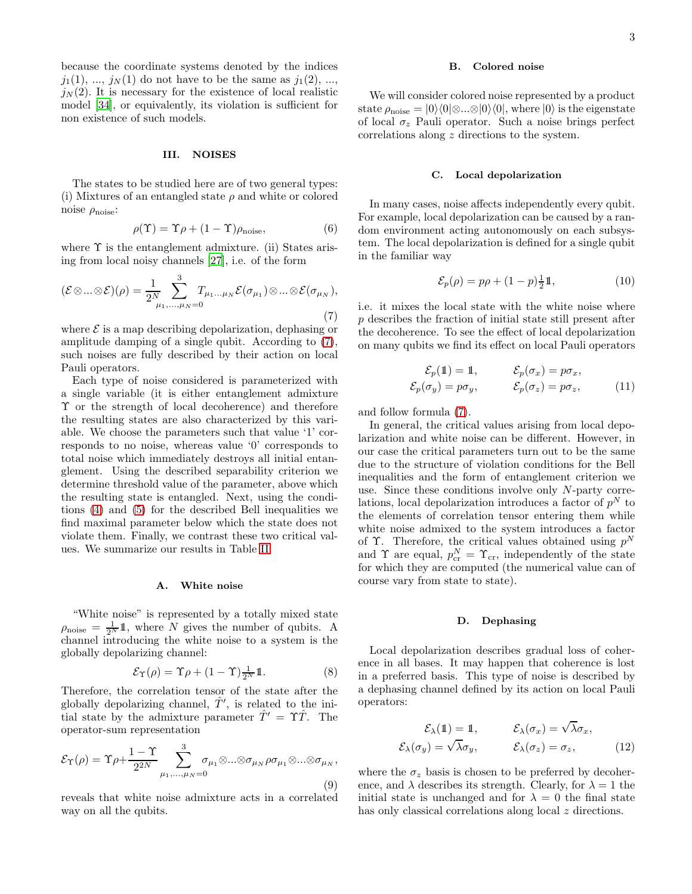because the coordinate systems denoted by the indices  $j_1(1), ..., j_N(1)$  do not have to be the same as  $j_1(2), ...,$  $j<sub>N</sub>(2)$ . It is necessary for the existence of local realistic model [\[34\]](#page-10-0), or equivalently, its violation is sufficient for non existence of such models.

#### III. NOISES

The states to be studied here are of two general types: (i) Mixtures of an entangled state  $\rho$  and white or colored noise  $\rho_{\text{noise}}$ :

$$
\rho(\Upsilon) = \Upsilon \rho + (1 - \Upsilon) \rho_{\text{noise}},\tag{6}
$$

where  $\Upsilon$  is the entanglement admixture. (ii) States arising from local noisy channels [\[27](#page-9-20)], i.e. of the form

<span id="page-2-0"></span>
$$
(\mathcal{E}\otimes...\otimes\mathcal{E})(\rho)=\frac{1}{2^N}\sum_{\mu_1,...,\mu_N=0}^3T_{\mu_1...\mu_N}\mathcal{E}(\sigma_{\mu_1})\otimes...\otimes\mathcal{E}(\sigma_{\mu_N}),
$$
\n(7)

where  $\mathcal E$  is a map describing depolarization, dephasing or amplitude damping of a single qubit. According to [\(7\)](#page-2-0), such noises are fully described by their action on local Pauli operators.

Each type of noise considered is parameterized with a single variable (it is either entanglement admixture Υ or the strength of local decoherence) and therefore the resulting states are also characterized by this variable. We choose the parameters such that value '1' corresponds to no noise, whereas value '0' corresponds to total noise which immediately destroys all initial entanglement. Using the described separability criterion we determine threshold value of the parameter, above which the resulting state is entangled. Next, using the conditions [\(4\)](#page-1-1) and [\(5\)](#page-1-2) for the described Bell inequalities we find maximal parameter below which the state does not violate them. Finally, we contrast these two critical values. We summarize our results in Table [II.](#page-9-23)

#### A. White noise

"White noise" is represented by a totally mixed state  $\rho_{\text{noise}} = \frac{1}{2^N} \mathbb{1}$ , where N gives the number of qubits. A channel introducing the white noise to a system is the globally depolarizing channel:

$$
\mathcal{E}_{\Upsilon}(\rho) = \Upsilon \rho + (1 - \Upsilon) \frac{1}{2^N} \mathbb{1}.
$$
 (8)

Therefore, the correlation tensor of the state after the globally depolarizing channel,  $\hat{T}'$ , is related to the initial state by the admixture parameter  $\hat{T}' = \Upsilon \hat{T}$ . The operator-sum representation

$$
\mathcal{E}_{\Upsilon}(\rho) = \Upsilon \rho + \frac{1 - \Upsilon}{2^{2N}} \sum_{\mu_1, \dots, \mu_N = 0}^3 \sigma_{\mu_1} \otimes \dots \otimes \sigma_{\mu_N} \rho \sigma_{\mu_1} \otimes \dots \otimes \sigma_{\mu_N},
$$
\n(9)

reveals that white noise admixture acts in a correlated way on all the qubits.

#### B. Colored noise

We will consider colored noise represented by a product state  $\rho_{\text{noise}} = |0\rangle\langle 0|\otimes...\otimes |0\rangle\langle 0|$ , where  $|0\rangle$  is the eigenstate of local  $\sigma_z$  Pauli operator. Such a noise brings perfect correlations along z directions to the system.

#### C. Local depolarization

In many cases, noise affects independently every qubit. For example, local depolarization can be caused by a random environment acting autonomously on each subsystem. The local depolarization is defined for a single qubit in the familiar way

$$
\mathcal{E}_p(\rho) = p\rho + (1 - p)\frac{1}{2}\mathbb{1},\tag{10}
$$

i.e. it mixes the local state with the white noise where p describes the fraction of initial state still present after the decoherence. To see the effect of local depolarization on many qubits we find its effect on local Pauli operators

$$
\mathcal{E}_p(\mathbf{1}) = \mathbf{1}, \qquad \mathcal{E}_p(\sigma_x) = p\sigma_x, \n\mathcal{E}_p(\sigma_y) = p\sigma_y, \qquad \mathcal{E}_p(\sigma_z) = p\sigma_z,
$$
\n(11)

and follow formula [\(7\)](#page-2-0).

In general, the critical values arising from local depolarization and white noise can be different. However, in our case the critical parameters turn out to be the same due to the structure of violation conditions for the Bell inequalities and the form of entanglement criterion we use. Since these conditions involve only  $N$ -party correlations, local depolarization introduces a factor of  $p^N$  to the elements of correlation tensor entering them while white noise admixed to the system introduces a factor of  $\Upsilon$ . Therefore, the critical values obtained using  $p^N$ and  $\Upsilon$  are equal,  $p_{cr}^N = \Upsilon_{cr}$ , independently of the state for which they are computed (the numerical value can of course vary from state to state).

# D. Dephasing

Local depolarization describes gradual loss of coherence in all bases. It may happen that coherence is lost in a preferred basis. This type of noise is described by a dephasing channel defined by its action on local Pauli operators:

$$
\mathcal{E}_{\lambda}(\mathbb{1}) = \mathbb{1}, \qquad \mathcal{E}_{\lambda}(\sigma_x) = \sqrt{\lambda}\sigma_x, \n\mathcal{E}_{\lambda}(\sigma_y) = \sqrt{\lambda}\sigma_y, \qquad \mathcal{E}_{\lambda}(\sigma_z) = \sigma_z,
$$
\n(12)

where the  $\sigma_z$  basis is chosen to be preferred by decoherence, and  $\lambda$  describes its strength. Clearly, for  $\lambda = 1$  the initial state is unchanged and for  $\lambda = 0$  the final state has only classical correlations along local z directions.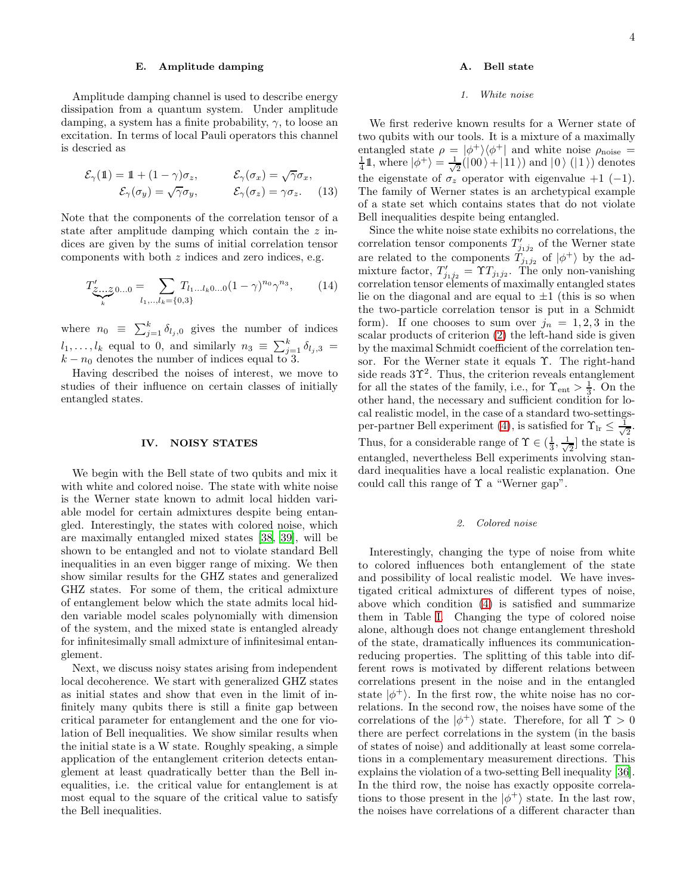#### E. Amplitude damping

Amplitude damping channel is used to describe energy dissipation from a quantum system. Under amplitude damping, a system has a finite probability,  $\gamma$ , to loose an excitation. In terms of local Pauli operators this channel is descried as

$$
\mathcal{E}_{\gamma}(\mathbb{1}) = \mathbb{1} + (1 - \gamma)\sigma_z, \qquad \mathcal{E}_{\gamma}(\sigma_x) = \sqrt{\gamma}\sigma_x, \n\mathcal{E}_{\gamma}(\sigma_y) = \sqrt{\gamma}\sigma_y, \qquad \mathcal{E}_{\gamma}(\sigma_z) = \gamma\sigma_z.
$$
\n(13)

Note that the components of the correlation tensor of a state after amplitude damping which contain the z indices are given by the sums of initial correlation tensor components with both z indices and zero indices, e.g.

$$
T'_{\underbrace{\mathcal{Z}\ldots\mathcal{Z}}_{k}} 0...0 = \sum_{l_1,\ldots,l_k=\{0,3\}} T_{l_1\ldots l_k 0\ldots 0} (1-\gamma)^{n_0} \gamma^{n_3},\tag{14}
$$

where  $n_0 \equiv \sum_{j=1}^k \delta_{l_j,0}$  gives the number of indices  $l_1, \ldots, l_k$  equal to 0, and similarly  $n_3 \equiv \sum_{j=1}^k \delta_{l_j,3} =$  $k - n_0$  denotes the number of indices equal to 3.

Having described the noises of interest, we move to studies of their influence on certain classes of initially entangled states.

#### IV. NOISY STATES

We begin with the Bell state of two qubits and mix it with white and colored noise. The state with white noise is the Werner state known to admit local hidden variable model for certain admixtures despite being entangled. Interestingly, the states with colored noise, which are maximally entangled mixed states [\[38](#page-10-3), [39\]](#page-10-4), will be shown to be entangled and not to violate standard Bell inequalities in an even bigger range of mixing. We then show similar results for the GHZ states and generalized GHZ states. For some of them, the critical admixture of entanglement below which the state admits local hidden variable model scales polynomially with dimension of the system, and the mixed state is entangled already for infinitesimally small admixture of infinitesimal entanglement.

Next, we discuss noisy states arising from independent local decoherence. We start with generalized GHZ states as initial states and show that even in the limit of infinitely many qubits there is still a finite gap between critical parameter for entanglement and the one for violation of Bell inequalities. We show similar results when the initial state is a W state. Roughly speaking, a simple application of the entanglement criterion detects entanglement at least quadratically better than the Bell inequalities, i.e. the critical value for entanglement is at most equal to the square of the critical value to satisfy the Bell inequalities.

# A. Bell state

### 1. White noise

We first rederive known results for a Werner state of two qubits with our tools. It is a mixture of a maximally entangled state  $\rho = |\phi^+\rangle\langle\phi^+|$  and white noise  $\rho_{\text{noise}} =$  $\frac{1}{4}1$ , where  $|\phi^+\rangle = \frac{1}{\sqrt{2}}$  $\frac{1}{2}(|00\rangle + |11\rangle)$  and  $|0\rangle (|1\rangle)$  denotes the eigenstate of  $\sigma_z$  operator with eigenvalue +1 (-1). The family of Werner states is an archetypical example of a state set which contains states that do not violate Bell inequalities despite being entangled.

Since the white noise state exhibits no correlations, the correlation tensor components  $T'_{j_1j_2}$  of the Werner state are related to the components  $T_{j_1j_2}$  of  $|\phi^+\rangle$  by the admixture factor,  $T'_{j_1j_2} = \Upsilon T_{j_1j_2}$ . The only non-vanishing correlation tensor elements of maximally entangled states lie on the diagonal and are equal to  $\pm 1$  (this is so when the two-particle correlation tensor is put in a Schmidt form). If one chooses to sum over  $j_n = 1, 2, 3$  in the scalar products of criterion [\(2\)](#page-1-3) the left-hand side is given by the maximal Schmidt coefficient of the correlation tensor. For the Werner state it equals Υ. The right-hand side reads  $3\Upsilon^2$ . Thus, the criterion reveals entanglement for all the states of the family, i.e., for  $\Upsilon_{\text{ent}} > \frac{1}{3}$ . On the other hand, the necessary and sufficient condition for local realistic model, in the case of a standard two-settings-per-partner Bell experiment [\(4\)](#page-1-1), is satisfied for  $\Upsilon_{\text{lr}} \leq \frac{1}{\sqrt{2}}$  $\overline{2}$ . Thus, for a considerable range of  $\Upsilon \in (\frac{1}{3}, \frac{1}{\sqrt{\}})$  $\frac{1}{2}$  the state is entangled, nevertheless Bell experiments involving standard inequalities have a local realistic explanation. One could call this range of  $\Upsilon$  a "Werner gap".

#### 2. Colored noise

Interestingly, changing the type of noise from white to colored influences both entanglement of the state and possibility of local realistic model. We have investigated critical admixtures of different types of noise, above which condition [\(4\)](#page-1-1) is satisfied and summarize them in Table [I.](#page-4-0) Changing the type of colored noise alone, although does not change entanglement threshold of the state, dramatically influences its communicationreducing properties. The splitting of this table into different rows is motivated by different relations between correlations present in the noise and in the entangled state  $|\phi^+\rangle$ . In the first row, the white noise has no correlations. In the second row, the noises have some of the correlations of the  $|\phi^+\rangle$  state. Therefore, for all  $\Upsilon > 0$ there are perfect correlations in the system (in the basis of states of noise) and additionally at least some correlations in a complementary measurement directions. This explains the violation of a two-setting Bell inequality [\[36\]](#page-10-5). In the third row, the noise has exactly opposite correlations to those present in the  $|\phi^+\rangle$  state. In the last row, the noises have correlations of a different character than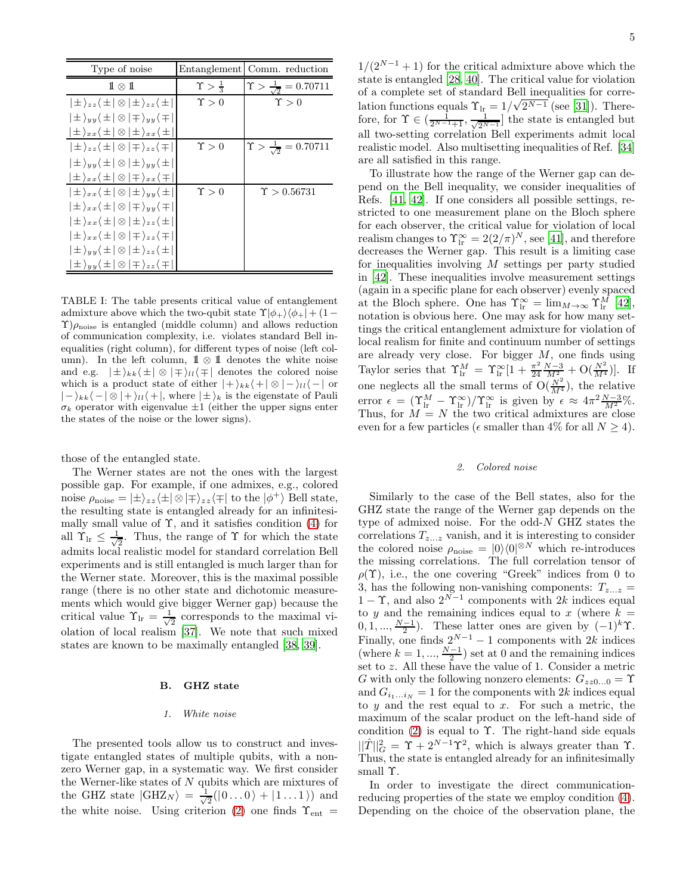| Type of noise                                                               | Entanglement             | Comm. reduction                           |
|-----------------------------------------------------------------------------|--------------------------|-------------------------------------------|
| $1 \otimes 1$                                                               | $\Upsilon > \frac{1}{3}$ | $\Upsilon > \frac{1}{\sqrt{2}} = 0.70711$ |
| $ \pm\rangle_{zz}\langle\pm \otimes \pm\rangle_{zz}\langle\pm $             | $\Upsilon > 0$           | $\Upsilon > 0$                            |
| $ \pm \rangle_{yy} \langle \pm  \otimes   \mp \rangle_{yy} \langle \mp  $   |                          |                                           |
| $ \pm\rangle_{xx}\langle\pm \otimes \pm\rangle_{xx}\langle\pm $             |                          |                                           |
| $ \pm\rangle_{zz}\langle\pm \otimes \mp\rangle_{zz}\langle\mp $             | $\Upsilon > 0$           | $\Upsilon > \frac{1}{\sqrt{2}} = 0.70711$ |
| $ \pm \rangle_{yy} \langle \pm  \otimes  \pm \rangle_{yy} \langle \pm  $    |                          |                                           |
| $ \pm\rangle_{xx}\langle\pm \otimes \mp\rangle_{xx}\langle\mp $             |                          |                                           |
| $ \pm\rangle_{xx}\langle\pm \otimes \pm\rangle_{uu}\langle\pm $             | $\Upsilon > 0$           | $\Upsilon > 0.56731$                      |
| $ \pm\rangle_{xx}\langle\pm \otimes \mp\rangle_{yy}\langle\mp $             |                          |                                           |
| $ \pm\rangle_{xx}$ $\langle \pm  \otimes  \pm\rangle_{zz}$ $\langle \pm  \$ |                          |                                           |
| $ \pm\rangle_{xx}\langle\pm \otimes \mp\rangle_{zz}\langle\mp $             |                          |                                           |
| $ \pm \rangle_{yy} \langle \pm  \otimes  \pm \rangle_{zz} \langle \pm  $    |                          |                                           |
| $ \pm\rangle_{yy}\langle\pm \otimes \mp\rangle_{zz}\langle\mp $             |                          |                                           |

<span id="page-4-0"></span>TABLE I: The table presents critical value of entanglement admixture above which the two-qubit state  $\Upsilon |\phi_{+}\rangle \langle \phi_{+}| + (1 \Upsilon$ ) $\rho_{\text{noise}}$  is entangled (middle column) and allows reduction of communication complexity, i.e. violates standard Bell inequalities (right column), for different types of noise (left column). In the left column,  $1 \otimes 11$  denotes the white noise and e.g.  $|\pm\rangle_{kk}\langle \pm |\otimes |\mp\rangle_{ll}\langle \mp |$  denotes the colored noise which is a product state of either  $|+\rangle_{kk}\langle+| \otimes|-\rangle_{ll}\langle-|$  or  $|-\rangle_{kk}\langle -|\otimes |+\rangle_{ll}\langle +|$ , where  $|\pm\rangle_k$  is the eigenstate of Pauli  $\sigma_k$  operator with eigenvalue  $\pm 1$  (either the upper signs enter the states of the noise or the lower signs).

those of the entangled state.

The Werner states are not the ones with the largest possible gap. For example, if one admixes, e.g., colored noise  $\rho_{\text{noise}} = |\pm\rangle_{zz} \langle \pm | \otimes | \mp \rangle_{zz} \langle \mp |$  to the  $| \phi^+ \rangle$  Bell state, the resulting state is entangled already for an infinitesimally small value of  $\Upsilon$ , and it satisfies condition [\(4\)](#page-1-1) for all  $\Upsilon_{\text{lr}} \leq \frac{1}{\sqrt{2}}$  $\frac{1}{2}$ . Thus, the range of  $\Upsilon$  for which the state admits local realistic model for standard correlation Bell experiments and is still entangled is much larger than for the Werner state. Moreover, this is the maximal possible range (there is no other state and dichotomic measurements which would give bigger Werner gap) because the critical value  $\Upsilon_{\text{lr}} = \frac{1}{\sqrt{2}}$  $\frac{1}{2}$  corresponds to the maximal violation of local realism [\[37\]](#page-10-6). We note that such mixed states are known to be maximally entangled [\[38,](#page-10-3) [39\]](#page-10-4).

#### B. GHZ state

# 1. White noise

The presented tools allow us to construct and investigate entangled states of multiple qubits, with a nonzero Werner gap, in a systematic way. We first consider the Werner-like states of N qubits which are mixtures of the GHZ state  $|\text{GHZ}_N\rangle = \frac{1}{\sqrt{2}}$  $\frac{1}{2}(|0...0\rangle + |1...1\rangle)$  and the white noise. Using criterion [\(2\)](#page-1-3) one finds  $\Upsilon_{\text{ent}} =$ 

 $1/(2^{N-1}+1)$  for the critical admixture above which the state is entangled [\[28](#page-9-21), [40\]](#page-10-7). The critical value for violation of a complete set of standard Bell inequalities for correlation functions equals  $\Upsilon_{\text{lr}} = 1/\sqrt{2^{N-1}}$  (see [\[31\]](#page-10-1)). Therefore, for  $\Upsilon \in \left(\frac{1}{2^{N-1}+1}, \frac{1}{\sqrt{2^{N-1}}} \right]$  the state is entangled but all two-setting correlation Bell experiments admit local realistic model. Also multisetting inequalities of Ref. [\[34](#page-10-0)] are all satisfied in this range.

To illustrate how the range of the Werner gap can depend on the Bell inequality, we consider inequalities of Refs. [\[41](#page-10-8), [42\]](#page-10-9). If one considers all possible settings, restricted to one measurement plane on the Bloch sphere for each observer, the critical value for violation of local realism changes to  $\Upsilon_{lr}^{\infty} = 2(2/\pi)^N$ , see [\[41\]](#page-10-8), and therefore decreases the Werner gap. This result is a limiting case for inequalities involving  $M$  settings per party studied in [\[42\]](#page-10-9). These inequalities involve measurement settings (again in a specific plane for each observer) evenly spaced at the Bloch sphere. One has  $\Upsilon_{\text{lr}}^{\infty} = \lim_{M \to \infty} \Upsilon_{\text{lr}}^{M}$  [\[42\]](#page-10-9), notation is obvious here. One may ask for how many settings the critical entanglement admixture for violation of local realism for finite and continuum number of settings are already very close. For bigger M, one finds using Taylor series that  $\Upsilon_{\text{lr}}^M = \Upsilon_{\text{lr}}^{\infty} [1 + \frac{\pi^2}{24}]$  $\frac{\pi^2}{24} \frac{N-3}{M^2} + \mathrm{O}(\frac{N^2}{M^4})$ . If one neglects all the small terms of  $O(\frac{N^2}{M^4})$ , the relative error  $\epsilon = (\Upsilon_{\rm lr}^M - \Upsilon_{\rm lr}^{\infty})/\Upsilon_{\rm lr}^{\infty}$  is given by  $\epsilon \approx 4\pi^2 \frac{N-3}{M^2}$ %. Thus, for  $M = N$  the two critical admixtures are close even for a few particles ( $\epsilon$  smaller than 4% for all  $N \ge 4$ ).

#### 2. Colored noise

Similarly to the case of the Bell states, also for the GHZ state the range of the Werner gap depends on the type of admixed noise. For the odd-N GHZ states the correlations  $T_{z...z}$  vanish, and it is interesting to consider the colored noise  $\rho_{\text{noise}} = |0\rangle\langle 0|^{\otimes N}$  which re-introduces the missing correlations. The full correlation tensor of  $\rho(\Upsilon)$ , i.e., the one covering "Greek" indices from 0 to 3, has the following non-vanishing components:  $T_{z...z} =$ 1 −  $\Upsilon$ , and also  $2^{N-1}$  components with 2k indices equal to y and the remaining indices equal to x (where  $k =$  $(0, 1, \ldots, \frac{N-1}{2})$ . These latter ones are given by  $(-1)^k \Upsilon$ . Finally, one finds  $2^{N-1} - 1$  components with 2k indices (where  $k = 1, ..., \frac{N-1}{2}$ ) set at 0 and the remaining indices set to z. All these have the value of 1. Consider a metric G with only the following nonzero elements:  $G_{zz0...0} = \Upsilon$ and  $G_{i_1...i_N} = 1$  for the components with 2k indices equal to  $y$  and the rest equal to  $x$ . For such a metric, the maximum of the scalar product on the left-hand side of condition  $(2)$  is equal to  $\Upsilon$ . The right-hand side equals  $||\hat{T}||_G^2 = \Upsilon + 2^{N-1}\Upsilon^2$ , which is always greater than  $\Upsilon$ . Thus, the state is entangled already for an infinitesimally small Υ.

In order to investigate the direct communicationreducing properties of the state we employ condition [\(4\)](#page-1-1). Depending on the choice of the observation plane, the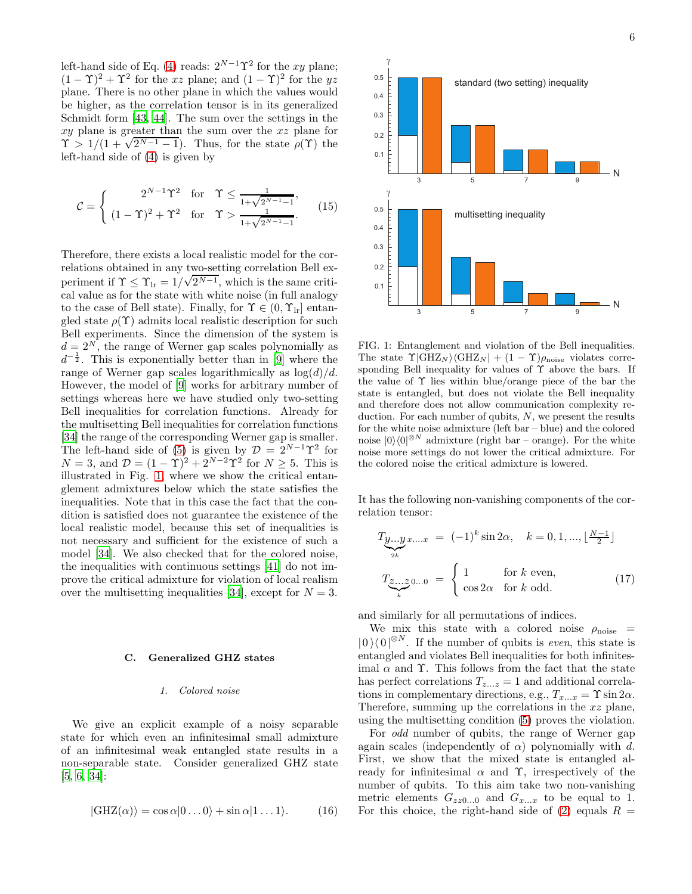left-hand side of Eq. [\(4\)](#page-1-1) reads:  $2^{N-1}\Upsilon^2$  for the xy plane;  $(1 - \Upsilon)^2 + \Upsilon^2$  for the xz plane; and  $(1 - \Upsilon)^2$  for the yz plane. There is no other plane in which the values would be higher, as the correlation tensor is in its generalized Schmidt form [\[43,](#page-10-10) [44\]](#page-10-11). The sum over the settings in the xy plane is greater than the sum over the xz plane for  $\Upsilon > 1/(1 + \sqrt{2^{N-1}-1})$ . Thus, for the state  $\rho(\Upsilon)$  the left-hand side of [\(4\)](#page-1-1) is given by

$$
\mathcal{C} = \begin{cases} 2^{N-1}\Upsilon^2 & \text{for } \Upsilon \le \frac{1}{1+\sqrt{2^{N-1}-1}},\\ (1-\Upsilon)^2 + \Upsilon^2 & \text{for } \Upsilon > \frac{1}{1+\sqrt{2^{N-1}-1}}. \end{cases} (15)
$$

Therefore, there exists a local realistic model for the correlations obtained in any two-setting correlation Bell experiment if  $\Upsilon \leq \Upsilon_{\text{lr}} = 1/\sqrt{2^{N-1}}$ , which is the same critical value as for the state with white noise (in full analogy to the case of Bell state). Finally, for  $\Upsilon \in (0, \Upsilon_{\text{lr}}]$  entangled state  $\rho(\Upsilon)$  admits local realistic description for such Bell experiments. Since the dimension of the system is  $d = 2^N$ , the range of Werner gap scales polynomially as  $d^{-\frac{1}{2}}$ . This is exponentially better than in [\[9](#page-9-8)] where the range of Werner gap scales logarithmically as  $log(d)/d$ . However, the model of [\[9\]](#page-9-8) works for arbitrary number of settings whereas here we have studied only two-setting Bell inequalities for correlation functions. Already for the multisetting Bell inequalities for correlation functions [\[34\]](#page-10-0) the range of the corresponding Werner gap is smaller. The left-hand side of [\(5\)](#page-1-2) is given by  $\mathcal{D} = 2^{N-1}\Upsilon^2$  for  $N = 3$ , and  $\mathcal{D} = (1 - \Upsilon)^2 + 2^{N-2}\Upsilon^2$  for  $N \ge 5$ . This is illustrated in Fig. [1,](#page-5-0) where we show the critical entanglement admixtures below which the state satisfies the inequalities. Note that in this case the fact that the condition is satisfied does not guarantee the existence of the local realistic model, because this set of inequalities is not necessary and sufficient for the existence of such a model [\[34\]](#page-10-0). We also checked that for the colored noise, the inequalities with continuous settings [\[41\]](#page-10-8) do not improve the critical admixture for violation of local realism over the multisetting inequalities [\[34](#page-10-0)], except for  $N = 3$ .

#### C. Generalized GHZ states

#### 1. Colored noise

We give an explicit example of a noisy separable state for which even an infinitesimal small admixture of an infinitesimal weak entangled state results in a non-separable state. Consider generalized GHZ state [\[5,](#page-9-4) [6,](#page-9-5) [34\]](#page-10-0):

$$
|\text{GHZ}(\alpha)\rangle = \cos \alpha |0...0\rangle + \sin \alpha |1...1\rangle. \tag{16}
$$



<span id="page-5-0"></span>FIG. 1: Entanglement and violation of the Bell inequalities. The state  $\Upsilon | \text{GHZ}_N \rangle \langle \text{GHZ}_N | + (1 - \Upsilon) \rho_{\text{noise}}$  violates corresponding Bell inequality for values of  $\Upsilon$  above the bars. If the value of Υ lies within blue/orange piece of the bar the state is entangled, but does not violate the Bell inequality and therefore does not allow communication complexity reduction. For each number of qubits,  $N$ , we present the results for the white noise admixture (left bar – blue) and the colored noise  $|0\rangle\langle 0|^{\otimes N}$  admixture (right bar – orange). For the white noise more settings do not lower the critical admixture. For the colored noise the critical admixture is lowered.

It has the following non-vanishing components of the correlation tensor:

$$
T_{\underbrace{y...y}_{2k}} x_{...x} = (-1)^k \sin 2\alpha, \quad k = 0, 1, ..., \lfloor \frac{N-1}{2} \rfloor
$$

$$
T_{\underbrace{z...z}_{k}} 0...0 = \begin{cases} 1 & \text{for } k \text{ even,} \\ \cos 2\alpha & \text{for } k \text{ odd.} \end{cases}
$$
(17)

and similarly for all permutations of indices.

We mix this state with a colored noise  $\rho_{\text{noise}}$  =  $|0\rangle\langle0|^{\otimes N}$ . If the number of qubits is *even*, this state is entangled and violates Bell inequalities for both infinitesimal  $\alpha$  and  $\Upsilon$ . This follows from the fact that the state has perfect correlations  $T_{z...z} = 1$  and additional correlations in complementary directions, e.g.,  $T_{x...x} = \Upsilon \sin 2\alpha$ . Therefore, summing up the correlations in the xz plane, using the multisetting condition [\(5\)](#page-1-2) proves the violation.

For odd number of qubits, the range of Werner gap again scales (independently of  $\alpha$ ) polynomially with d. First, we show that the mixed state is entangled already for infinitesimal  $\alpha$  and  $\Upsilon$ , irrespectively of the number of qubits. To this aim take two non-vanishing metric elements  $G_{zz0...0}$  and  $G_{x...x}$  to be equal to 1. For this choice, the right-hand side of [\(2\)](#page-1-3) equals  $R =$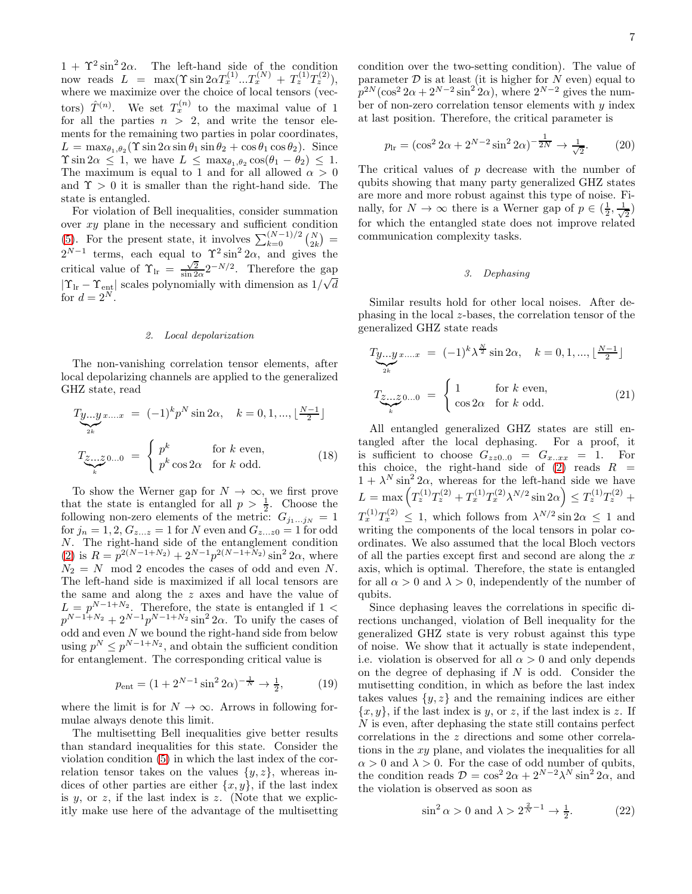$1 + \Upsilon^2 \sin^2 2\alpha$ . The left-hand side of the condition now reads  $L = \max(\Upsilon \sin 2\alpha T_x^{(1)} ... T_x^{(N)} + T_z^{(1)} T_z^{(2)}),$ where we maximize over the choice of local tensors (vectors)  $\hat{T}^{(n)}$ . We set  $T_x^{(n)}$  to the maximal value of 1 for all the parties  $n > 2$ , and write the tensor elements for the remaining two parties in polar coordinates,  $L = \max_{\theta_1, \theta_2} (\Upsilon \sin 2\alpha \sin \theta_1 \sin \theta_2 + \cos \theta_1 \cos \theta_2).$  Since  $\Upsilon \sin 2\alpha \leq 1$ , we have  $L \leq \max_{\theta_1, \theta_2} \cos(\theta_1 - \theta_2) \leq 1$ . The maximum is equal to 1 and for all allowed  $\alpha > 0$ and  $\Upsilon > 0$  it is smaller than the right-hand side. The state is entangled.

For violation of Bell inequalities, consider summation over xy plane in the necessary and sufficient condition [\(5\)](#page-1-2). For the present state, it involves  $\sum_{k=0}^{(N-1)/2} {N \choose 2k}$  $2^{N-1}$  terms, each equal to  $\Upsilon^2 \sin^2 2\alpha$ , and gives the critical value of  $\Upsilon_{\text{lr}} = \frac{\sqrt{2}}{\sin 2\alpha} 2^{-N/2}$ . Therefore the gap  $|\Upsilon_{\text{lr}} - \Upsilon_{\text{ent}}|$  scales polynomially with dimension as  $1/\sqrt{d}$ √ for  $d=2^N$ .

#### 2. Local depolarization

The non-vanishing correlation tensor elements, after local depolarizing channels are applied to the generalized GHZ state, read

$$
T_{\underbrace{y...y}_{2k}} x... x = (-1)^k p^N \sin 2\alpha, \quad k = 0, 1, ..., \lfloor \frac{N-1}{2} \rfloor
$$

$$
T_{\underbrace{z...z}_{k}} 0... 0 = \begin{cases} p^k & \text{for } k \text{ even,} \\ p^k \cos 2\alpha & \text{for } k \text{ odd.} \end{cases}
$$
(18)

To show the Werner gap for  $N \to \infty$ , we first prove that the state is entangled for all  $p > \frac{1}{2}$ . Choose the following non-zero elements of the metric:  $G_{j_1...j_N} = 1$ for  $j_n = 1, 2, G_{z...z} = 1$  for N even and  $G_{z...z0} = 1$  for odd N. The right-hand side of the entanglement condition [\(2\)](#page-1-3) is  $R = p^{2(N-1+N_2)} + 2^{N-1}p^{2(N-1+N_2)}\sin^2 2\alpha$ , where  $N_2 = N$  mod 2 encodes the cases of odd and even N. The left-hand side is maximized if all local tensors are the same and along the z axes and have the value of  $L = p^{N-1+N_2}$ . Therefore, the state is entangled if 1 <  $p^{N-1+N_2}+2^{N-1}p^{N-1+N_2}\sin^2 2\alpha$ . To unify the cases of odd and even  $N$  we bound the right-hand side from below using  $p^N \n\t\leq p^{N-1+N_2}$ , and obtain the sufficient condition for entanglement. The corresponding critical value is

$$
p_{\text{ent}} = (1 + 2^{N-1} \sin^2 2\alpha)^{-\frac{1}{N}} \to \frac{1}{2},\tag{19}
$$

where the limit is for  $N \to \infty$ . Arrows in following formulae always denote this limit.

The multisetting Bell inequalities give better results than standard inequalities for this state. Consider the violation condition [\(5\)](#page-1-2) in which the last index of the correlation tensor takes on the values  $\{y, z\}$ , whereas indices of other parties are either  $\{x, y\}$ , if the last index is y, or z, if the last index is z. (Note that we explicitly make use here of the advantage of the multisetting

condition over the two-setting condition). The value of parameter  $D$  is at least (it is higher for  $N$  even) equal to  $p^{2N}(\cos^2 2\alpha + 2^{N-2} \sin^2 2\alpha)$ , where  $2^{N-2}$  gives the number of non-zero correlation tensor elements with  $y$  index at last position. Therefore, the critical parameter is

$$
p_{\rm lr} = (\cos^2 2\alpha + 2^{N-2} \sin^2 2\alpha)^{-\frac{1}{2N}} \to \frac{1}{\sqrt{2}}.\tag{20}
$$

The critical values of p decrease with the number of qubits showing that many party generalized GHZ states are more and more robust against this type of noise. Finally, for  $N \to \infty$  there is a Werner gap of  $p \in (\frac{1}{2}, \frac{1}{\sqrt{\pi}})$  $\overline{2}$ for which the entangled state does not improve related communication complexity tasks.

#### 3. Dephasing

Similar results hold for other local noises. After dephasing in the local z-bases, the correlation tensor of the generalized GHZ state reads

$$
T_{\underbrace{y...y}_{2k}} x... x = (-1)^k \lambda^{\frac{N}{2}} \sin 2\alpha, \quad k = 0, 1, ..., \lfloor \frac{N-1}{2} \rfloor
$$

$$
T_{\underbrace{z...z}_{k}} 0... 0 = \begin{cases} 1 & \text{for } k \text{ even,} \\ \cos 2\alpha & \text{for } k \text{ odd.} \end{cases}
$$
(21)

All entangled generalized GHZ states are still entangled after the local dephasing. For a proof, it is sufficient to choose  $G_{zz0..0} = G_{x..xx} = 1$ . For this choice, the right-hand side of  $(2)$  reads  $R =$  $1 + \lambda^N \sin^2 2\alpha$ , whereas for the left-hand side we have  $L = \max \left( T_z^{(1)} T_z^{(2)} + T_x^{(1)} T_x^{(2)} \lambda^{N/2} \sin 2\alpha \right) \leq T_z^{(1)} T_z^{(2)} +$  $T_x^{(1)}T_x^{(2)} \leq 1$ , which follows from  $\lambda^{N/2} \sin 2\alpha \leq 1$  and writing the components of the local tensors in polar coordinates. We also assumed that the local Bloch vectors of all the parties except first and second are along the  $x$ axis, which is optimal. Therefore, the state is entangled for all  $\alpha > 0$  and  $\lambda > 0$ , independently of the number of qubits.

Since dephasing leaves the correlations in specific directions unchanged, violation of Bell inequality for the generalized GHZ state is very robust against this type of noise. We show that it actually is state independent, i.e. violation is observed for all  $\alpha > 0$  and only depends on the degree of dephasing if  $N$  is odd. Consider the mutisetting condition, in which as before the last index takes values  $\{y, z\}$  and the remaining indices are either  ${x, y}$ , if the last index is y, or z, if the last index is z. If N is even, after dephasing the state still contains perfect correlations in the z directions and some other correlations in the  $xy$  plane, and violates the inequalities for all  $\alpha > 0$  and  $\lambda > 0$ . For the case of odd number of qubits, the condition reads  $\mathcal{D} = \cos^2 2\alpha + 2^{N-2}\lambda^N \sin^2 2\alpha$ , and the violation is observed as soon as

$$
\sin^2 \alpha > 0 \text{ and } \lambda > 2^{\frac{2}{N}-1} \to \frac{1}{2}.\tag{22}
$$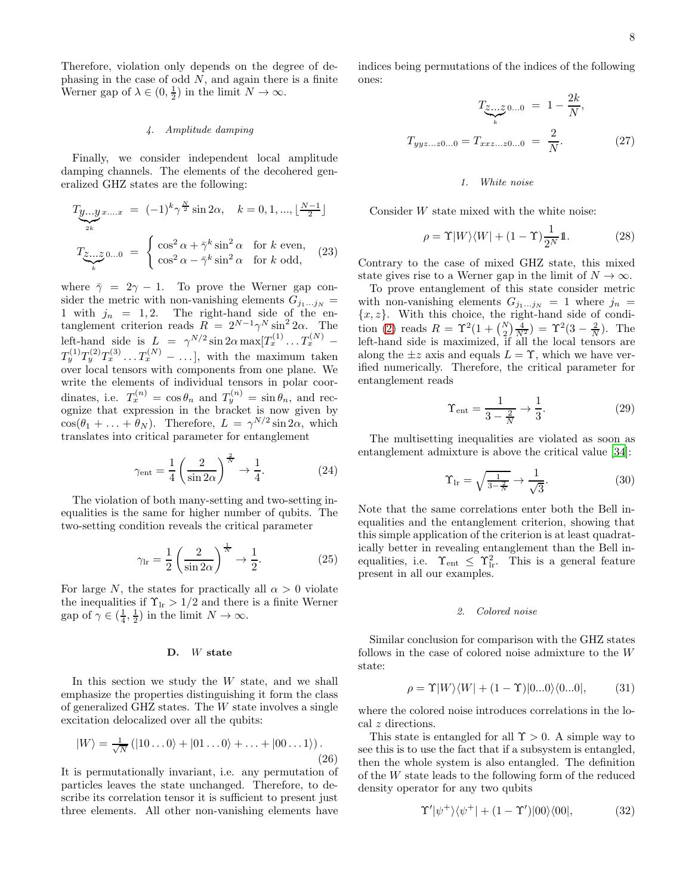Therefore, violation only depends on the degree of dephasing in the case of odd  $N$ , and again there is a finite Werner gap of  $\lambda \in (0, \frac{1}{2})$  in the limit  $N \to \infty$ .

# 4. Amplitude damping

Finally, we consider independent local amplitude damping channels. The elements of the decohered generalized GHZ states are the following:

$$
T_{\underbrace{y...y}_{2k}} x_{...x} = (-1)^k \gamma^{\frac{N}{2}} \sin 2\alpha, \quad k = 0, 1, ..., \lfloor \frac{N-1}{2} \rfloor
$$

$$
T_{\underbrace{z...z}_{k}} 0...0 = \begin{cases} \cos^2 \alpha + \bar{\gamma}^k \sin^2 \alpha & \text{for } k \text{ even,} \\ \cos^2 \alpha - \bar{\gamma}^k \sin^2 \alpha & \text{for } k \text{ odd,} \end{cases}
$$
(23)

where  $\bar{\gamma} = 2\gamma - 1$ . To prove the Werner gap consider the metric with non-vanishing elements  $G_{j_1...j_N}$  = 1 with  $j_n = 1, 2$ . The right-hand side of the entanglement criterion reads  $R = 2^{N-1}\gamma^N \sin^2 2\alpha$ . The left-hand side is  $L = \gamma^{N/2} \sin 2\alpha \max[T_x^{(1)} \dots T_x^{(N)}] T_y^{(1)}T_y^{(2)}T_x^{(3)}\ldots T_x^{(N)} - \ldots$ , with the maximum taken over local tensors with components from one plane. We write the elements of individual tensors in polar coordinates, i.e.  $T_x^{(n)} = \cos \theta_n$  and  $T_y^{(n)} = \sin \theta_n$ , and recognize that expression in the bracket is now given by  $\cos(\theta_1 + \ldots + \theta_N)$ . Therefore,  $L = \gamma^{N/2} \sin 2\alpha$ , which translates into critical parameter for entanglement

$$
\gamma_{\rm ent} = \frac{1}{4} \left( \frac{2}{\sin 2\alpha} \right)^{\frac{2}{N}} \to \frac{1}{4}.
$$
 (24)

The violation of both many-setting and two-setting inequalities is the same for higher number of qubits. The two-setting condition reveals the critical parameter

$$
\gamma_{\rm lr} = \frac{1}{2} \left( \frac{2}{\sin 2\alpha} \right)^{\frac{1}{N}} \to \frac{1}{2}.
$$
 (25)

For large N, the states for practically all  $\alpha > 0$  violate the inequalities if  $\Upsilon_{\text{lr}} > 1/2$  and there is a finite Werner gap of  $\gamma \in (\frac{1}{4}, \frac{1}{2})$  in the limit  $N \to \infty$ .

## D. W state

In this section we study the  $W$  state, and we shall emphasize the properties distinguishing it form the class of generalized GHZ states. The W state involves a single excitation delocalized over all the qubits:

$$
|W\rangle = \frac{1}{\sqrt{N}} (|10...0\rangle + |01...0\rangle + \ldots + |00...1\rangle).
$$
\n(26)

It is permutationally invariant, i.e. any permutation of particles leaves the state unchanged. Therefore, to describe its correlation tensor it is sufficient to present just three elements. All other non-vanishing elements have

indices being permutations of the indices of the following ones:

$$
T_{\underbrace{z...z}_{k}0...0} = 1 - \frac{2k}{N},
$$
  
\n
$$
T_{yyz...z0...0} = T_{xxz...z0...0} = \frac{2}{N}.
$$
 (27)

### 1. White noise

Consider W state mixed with the white noise:

$$
\rho = \Upsilon |W\rangle\langle W| + (1 - \Upsilon) \frac{1}{2^N} \mathbb{1}.
$$
 (28)

Contrary to the case of mixed GHZ state, this mixed state gives rise to a Werner gap in the limit of  $N \to \infty$ .

To prove entanglement of this state consider metric with non-vanishing elements  $G_{j_1...j_N} = 1$  where  $j_n =$  ${x, z}$ . With this choice, the right-hand side of condi-tion [\(2\)](#page-1-3) reads  $R = \Upsilon^2(1 + {N \choose 2} \frac{4}{N^2}) = \Upsilon^2(3 - \frac{2}{N})$ . The left-hand side is maximized, if all the local tensors are along the  $\pm z$  axis and equals  $L = \Upsilon$ , which we have verified numerically. Therefore, the critical parameter for entanglement reads

$$
\Upsilon_{\text{ent}} = \frac{1}{3 - \frac{2}{N}} \to \frac{1}{3}.\tag{29}
$$

The multisetting inequalities are violated as soon as entanglement admixture is above the critical value [\[34\]](#page-10-0):

$$
\Upsilon_{\rm lr} = \sqrt{\frac{1}{3 - \frac{2}{N}}} \to \frac{1}{\sqrt{3}}.\tag{30}
$$

Note that the same correlations enter both the Bell inequalities and the entanglement criterion, showing that this simple application of the criterion is at least quadratically better in revealing entanglement than the Bell inequalities, i.e.  $\Upsilon_{\text{ent}} \leq \Upsilon_{\text{lr}}^2$ . This is a general feature present in all our examples.

#### 2. Colored noise

Similar conclusion for comparison with the GHZ states follows in the case of colored noise admixture to the W state:

$$
\rho = \Upsilon |W\rangle\langle W| + (1 - \Upsilon)|0...0\rangle\langle 0...0|, \qquad (31)
$$

where the colored noise introduces correlations in the local z directions.

This state is entangled for all  $\Upsilon > 0$ . A simple way to see this is to use the fact that if a subsystem is entangled, then the whole system is also entangled. The definition of the W state leads to the following form of the reduced density operator for any two qubits

$$
\Upsilon' |\psi^+\rangle\langle\psi^+| + (1 - \Upsilon')|00\rangle\langle00|, \tag{32}
$$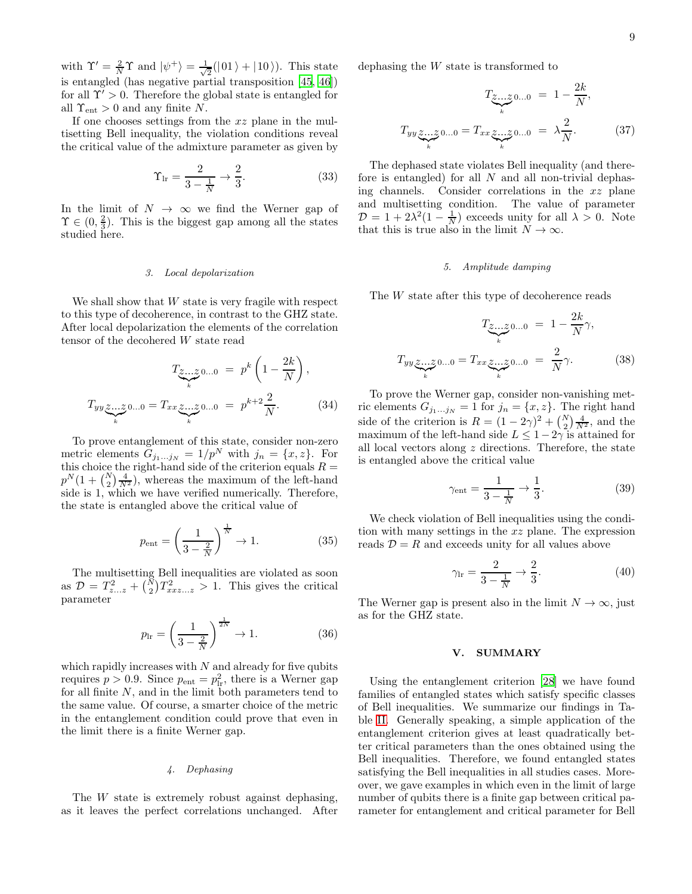with  $\Upsilon' = \frac{2}{N}\Upsilon$  and  $|\psi^+\rangle = \frac{1}{\sqrt{2}}$  $\frac{1}{2}(|01\rangle + |10\rangle)$ . This state is entangled (has negative partial transposition [\[45](#page-10-12), [46\]](#page-10-13)) for all  $\Upsilon' > 0$ . Therefore the global state is entangled for all  $\Upsilon_{\text{ent}} > 0$  and any finite N.

If one chooses settings from the xz plane in the multisetting Bell inequality, the violation conditions reveal the critical value of the admixture parameter as given by

$$
\Upsilon_{\rm lr} = \frac{2}{3 - \frac{1}{N}} \to \frac{2}{3}.\tag{33}
$$

In the limit of  $N \to \infty$  we find the Werner gap of  $\Upsilon \in (0, \frac{2}{3})$ . This is the biggest gap among all the states studied here.

#### 3. Local depolarization

We shall show that  $W$  state is very fragile with respect to this type of decoherence, in contrast to the GHZ state. After local depolarization the elements of the correlation tensor of the decohered W state read

$$
T_{\underbrace{z...z}_{k}0...0} = p^{k} \left(1 - \frac{2k}{N}\right),
$$
  

$$
T_{yy} \underbrace{z...z}_{k} 0...0 = T_{xx} \underbrace{z...z}_{k} 0...0 = p^{k+2} \frac{2}{N}.
$$
 (34)

To prove entanglement of this state, consider non-zero metric elements  $G_{j_1...j_N} = 1/p^N$  with  $j_n = \{x, z\}$ . For this choice the right-hand side of the criterion equals  $R =$  $p^{N}(1 + {N \choose 2} \frac{4}{N^2})$ , whereas the maximum of the left-hand side is 1, which we have verified numerically. Therefore, the state is entangled above the critical value of

$$
p_{\text{ent}} = \left(\frac{1}{3 - \frac{2}{N}}\right)^{\frac{1}{N}} \to 1. \tag{35}
$$

The multisetting Bell inequalities are violated as soon as  $\mathcal{D} = T_{z...z}^2 + {N \choose 2} T_{xxz...z}^2 > 1$ . This gives the critical parameter

$$
p_{\rm lr} = \left(\frac{1}{3 - \frac{2}{N}}\right)^{\frac{1}{2N}} \to 1. \tag{36}
$$

which rapidly increases with  $N$  and already for five qubits requires  $p > 0.9$ . Since  $p_{\text{ent}} = p_{\text{lr}}^2$ , there is a Werner gap for all finite  $N$ , and in the limit both parameters tend to the same value. Of course, a smarter choice of the metric in the entanglement condition could prove that even in the limit there is a finite Werner gap.

# 4. Dephasing

The W state is extremely robust against dephasing. as it leaves the perfect correlations unchanged. After dephasing the W state is transformed to

$$
T_{\underbrace{z...z}_{k}0...0} = 1 - \frac{2k}{N},
$$
  
\n
$$
T_{yy} \underbrace{z...z}_{k}0...0 = T_{xx} \underbrace{z...z}_{k}0...0 = \lambda \frac{2}{N}.
$$
 (37)

The dephased state violates Bell inequality (and therefore is entangled) for all  $N$  and all non-trivial dephasing channels. Consider correlations in the xz plane and multisetting condition. The value of parameter  $\mathcal{D} = 1 + 2\lambda^2(1 - \frac{1}{N})$  exceeds unity for all  $\lambda > 0$ . Note that this is true also in the limit  $N \to \infty$ .

# 5. Amplitude damping

The W state after this type of decoherence reads

$$
T_{\underbrace{z...z}_{k}0...0} = 1 - \frac{2k}{N}\gamma,
$$
  

$$
T_{yy}\underbrace{z...z}_{k}0...0 = T_{xx}\underbrace{z...z}_{k}0...0 = \frac{2}{N}\gamma.
$$
 (38)

To prove the Werner gap, consider non-vanishing metric elements  $G_{j_1...j_N} = 1$  for  $j_n = \{x, z\}$ . The right hand side of the criterion is  $R = (1 - 2\gamma)^2 + {N \choose 2} \frac{4}{N^2}$ , and the maximum of the left-hand side  $L \leq 1-2\gamma$  is attained for all local vectors along  $z$  directions. Therefore, the state is entangled above the critical value

$$
\gamma_{\text{ent}} = \frac{1}{3 - \frac{1}{N}} \to \frac{1}{3}.
$$
\n(39)

We check violation of Bell inequalities using the condition with many settings in the xz plane. The expression reads  $\mathcal{D} = R$  and exceeds unity for all values above

$$
\gamma_{\rm lr} = \frac{2}{3 - \frac{1}{N}} \to \frac{2}{3}.\tag{40}
$$

The Werner gap is present also in the limit  $N \to \infty$ , just as for the GHZ state.

# V. SUMMARY

Using the entanglement criterion [\[28\]](#page-9-21) we have found families of entangled states which satisfy specific classes of Bell inequalities. We summarize our findings in Table [II.](#page-9-23) Generally speaking, a simple application of the entanglement criterion gives at least quadratically better critical parameters than the ones obtained using the Bell inequalities. Therefore, we found entangled states satisfying the Bell inequalities in all studies cases. Moreover, we gave examples in which even in the limit of large number of qubits there is a finite gap between critical parameter for entanglement and critical parameter for Bell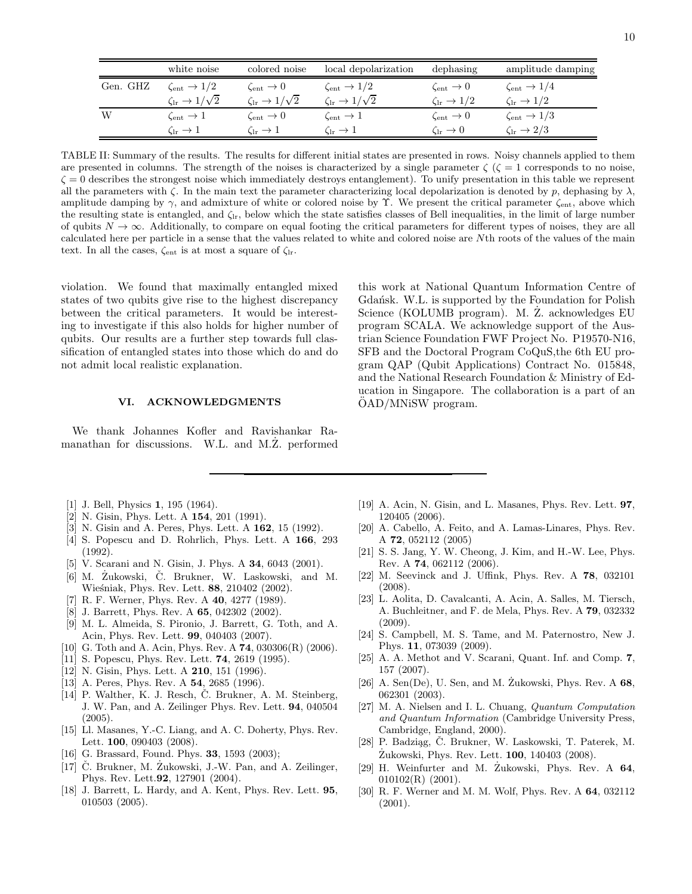|          | white noise                             | colored noise                           | local depolarization                 | dephasing                    | amplitude damping                    |
|----------|-----------------------------------------|-----------------------------------------|--------------------------------------|------------------------------|--------------------------------------|
| Gen. GHZ | $\zeta_{\text{ent}} \rightarrow 1/2$    | $\zeta_{\text{ent}} \to 0$              | $\zeta_{\text{ent}} \rightarrow 1/2$ | $\zeta_{\text{ent}} \to 0$   | $\zeta_{\text{ent}} \rightarrow 1/4$ |
|          | $\zeta_{\rm lr} \rightarrow 1/\sqrt{2}$ | $\zeta_{\rm lr} \rightarrow 1/\sqrt{2}$ | $\zeta_{1r} \rightarrow 1/\sqrt{2}$  | $\zeta_{1r} \rightarrow 1/2$ | $\zeta_{1r} \rightarrow 1/2$         |
| W        | $\zeta_{\text{ent}} \to 1$              | $\zeta_{\text{ent}} \to 0$              | $\zeta_{\text{ent}} \to 1$           | $\zeta_{\text{ent}} \to 0$   | $\zeta_{\text{ent}} \to 1/3$         |
|          | $\zeta_{1r} \rightarrow 1$              | $\zeta_{1r} \rightarrow 1$              | $\zeta_{1r} \rightarrow 1$           | $C_{1r} \rightarrow 0$       | $\zeta_{\rm lr}\rightarrow 2/3$      |

<span id="page-9-23"></span>TABLE II: Summary of the results. The results for different initial states are presented in rows. Noisy channels applied to them are presented in columns. The strength of the noises is characterized by a single parameter  $\zeta$  ( $\zeta = 1$  corresponds to no noise,  $\zeta = 0$  describes the strongest noise which immediately destroys entanglement). To unify presentation in this table we represent all the parameters with  $\zeta$ . In the main text the parameter characterizing local depolarization is denoted by p, dephasing by  $\lambda$ , amplitude damping by  $\gamma$ , and admixture of white or colored noise by  $\Upsilon$ . We present the critical parameter  $\zeta_{\text{ent}}$ , above which the resulting state is entangled, and  $\zeta_{lr}$ , below which the state satisfies classes of Bell inequalities, in the limit of large number of qubits  $N \to \infty$ . Additionally, to compare on equal footing the critical parameters for different types of noises, they are all calculated here per particle in a sense that the values related to white and colored noise are Nth roots of the values of the main text. In all the cases,  $\zeta_{\text{ent}}$  is at most a square of  $\zeta_{\text{lr}}$ .

violation. We found that maximally entangled mixed states of two qubits give rise to the highest discrepancy between the critical parameters. It would be interesting to investigate if this also holds for higher number of qubits. Our results are a further step towards full classification of entangled states into those which do and do not admit local realistic explanation.

# VI. ACKNOWLEDGMENTS

We thank Johannes Kofler and Ravishankar Ramanathan for discussions. W.L. and M.Z. performed

this work at National Quantum Information Centre of Gdańsk. W.L. is supported by the Foundation for Polish Science (KOLUMB program). M. Z. acknowledges EU program SCALA. We acknowledge support of the Austrian Science Foundation FWF Project No. P19570-N16, SFB and the Doctoral Program CoQuS,the 6th EU program QAP (Qubit Applications) Contract No. 015848, and the National Research Foundation & Ministry of Education in Singapore. The collaboration is a part of an OAD/MNiSW program.

- <span id="page-9-0"></span>[1] J. Bell, Physics **1**, 195 (1964).
- <span id="page-9-1"></span>[2] N. Gisin, Phys. Lett. A **154**, 201 (1991).
- <span id="page-9-2"></span>[3] N. Gisin and A. Peres, Phys. Lett. A 162, 15 (1992).
- <span id="page-9-3"></span>[4] S. Popescu and D. Rohrlich, Phys. Lett. A 166, 293 (1992).
- <span id="page-9-4"></span>[5] V. Scarani and N. Gisin, J. Phys. A 34, 6043 (2001).
- <span id="page-9-5"></span>[6] M. Żukowski, Č. Brukner, W. Laskowski, and M. Wieśniak, Phys. Rev. Lett. 88, 210402 (2002).
- <span id="page-9-6"></span>[7] R. F. Werner, Phys. Rev. A 40, 4277 (1989).
- <span id="page-9-7"></span>[8] J. Barrett, Phys. Rev. A 65, 042302 (2002).
- <span id="page-9-8"></span>[9] M. L. Almeida, S. Pironio, J. Barrett, G. Toth, and A. Acin, Phys. Rev. Lett. 99, 040403 (2007).
- <span id="page-9-9"></span>[10] G. Toth and A. Acin, Phys. Rev. A **74**, 030306(R) (2006).
- <span id="page-9-10"></span>[11] S. Popescu, Phys. Rev. Lett. 74, 2619 (1995).
- [12] N. Gisin, Phys. Lett. A **210**, 151 (1996).
- [13] A. Peres, Phys. Rev. A **54**, 2685 (1996).
- <span id="page-9-11"></span>[14] P. Walther, K. J. Resch, Č. Brukner, A. M. Steinberg, J. W. Pan, and A. Zeilinger Phys. Rev. Lett. 94, 040504 (2005).
- [15] Ll. Masanes, Y.-C. Liang, and A. C. Doherty, Phys. Rev. Lett. **100**, 090403 (2008).
- <span id="page-9-12"></span>[16] G. Brassard, Found. Phys. **33**, 1593 (2003);
- <span id="page-9-13"></span> $[17]$  C. Brukner, M. Zukowski, J.-W. Pan, and A. Zeilinger, Phys. Rev. Lett.92, 127901 (2004).
- <span id="page-9-14"></span>[18] J. Barrett, L. Hardy, and A. Kent, Phys. Rev. Lett. 95, 010503 (2005).
- <span id="page-9-15"></span>[19] A. Acin, N. Gisin, and L. Masanes, Phys. Rev. Lett. 97, 120405 (2006).
- <span id="page-9-16"></span>[20] A. Cabello, A. Feito, and A. Lamas-Linares, Phys. Rev. A 72, 052112 (2005)
- [21] S. S. Jang, Y. W. Cheong, J. Kim, and H.-W. Lee, Phys. Rev. A 74, 062112 (2006).
- [22] M. Seevinck and J. Uffink, Phys. Rev. A 78, 032101 (2008).
- [23] L. Aolita, D. Cavalcanti, A. Acin, A. Salles, M. Tiersch, A. Buchleitner, and F. de Mela, Phys. Rev. A 79, 032332 (2009).
- <span id="page-9-17"></span>[24] S. Campbell, M. S. Tame, and M. Paternostro, New J. Phys. 11, 073039 (2009).
- <span id="page-9-18"></span>[25] A. A. Methot and V. Scarani, Quant. Inf. and Comp. 7, 157 (2007).
- <span id="page-9-19"></span>[26] A. Sen(De), U. Sen, and M. Zukowski, Phys. Rev. A  $68$ , 062301 (2003).
- <span id="page-9-20"></span>[27] M. A. Nielsen and I. L. Chuang, Quantum Computation and Quantum Information (Cambridge University Press, Cambridge, England, 2000).
- <span id="page-9-21"></span>[28] P. Badziag, Č. Brukner, W. Laskowski, T. Paterek, M. Zukowski, Phys. Rev. Lett. **100**, 140403 (2008).
- <span id="page-9-22"></span>[29] H. Weinfurter and M. Zukowski, Phys. Rev. A 64, 010102(R) (2001).
- [30] R. F. Werner and M. M. Wolf, Phys. Rev. A 64, 032112 (2001).